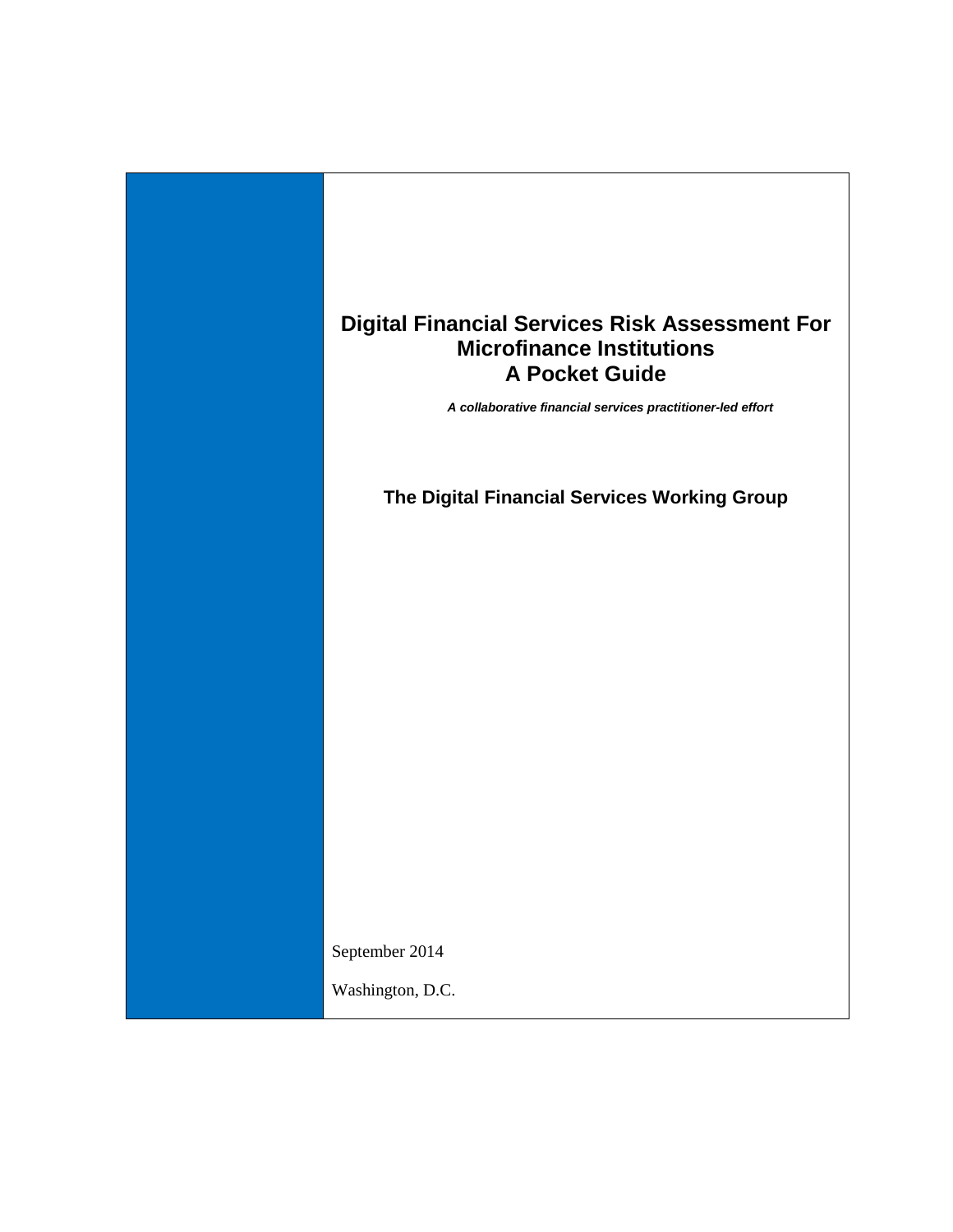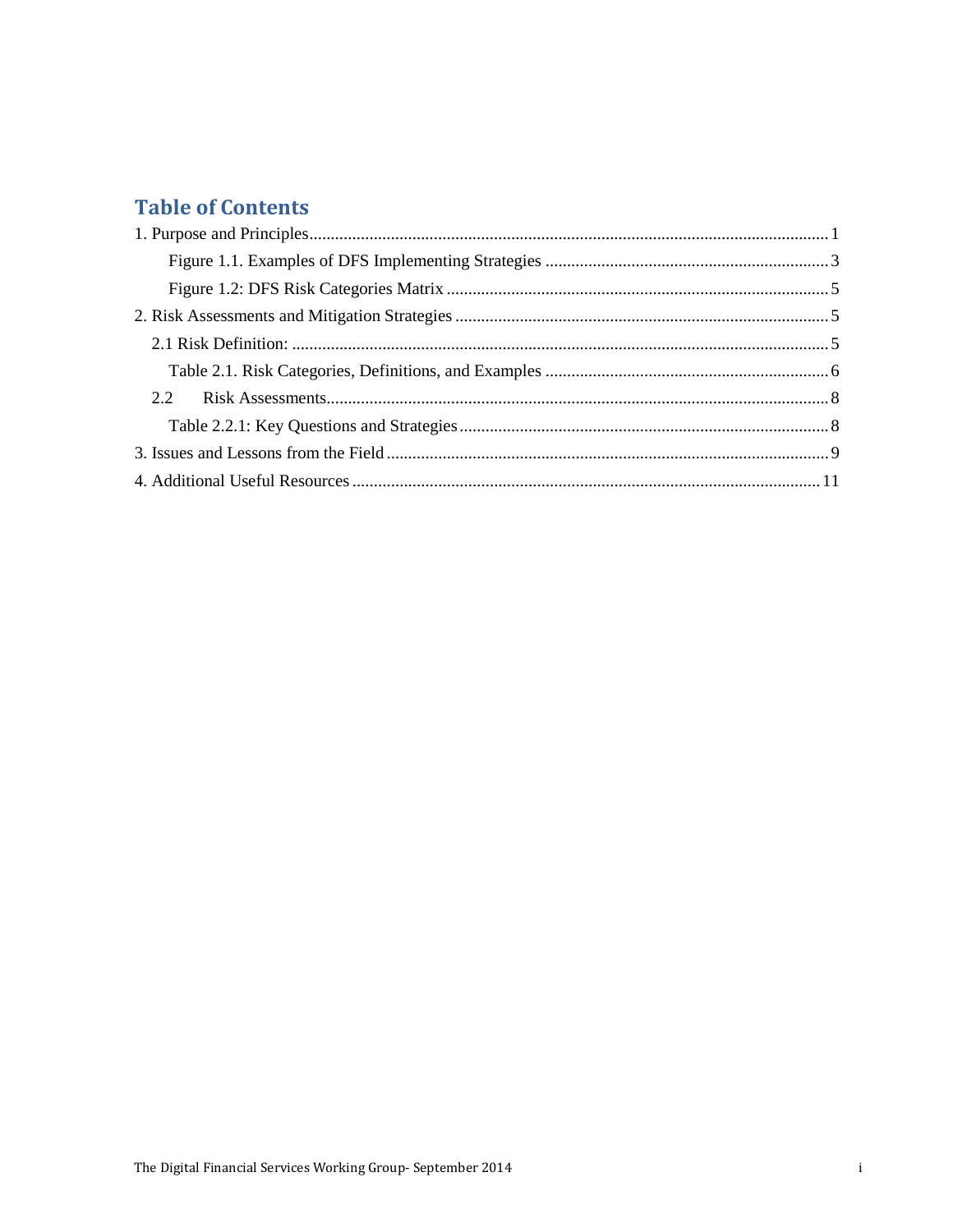## **Table of Contents**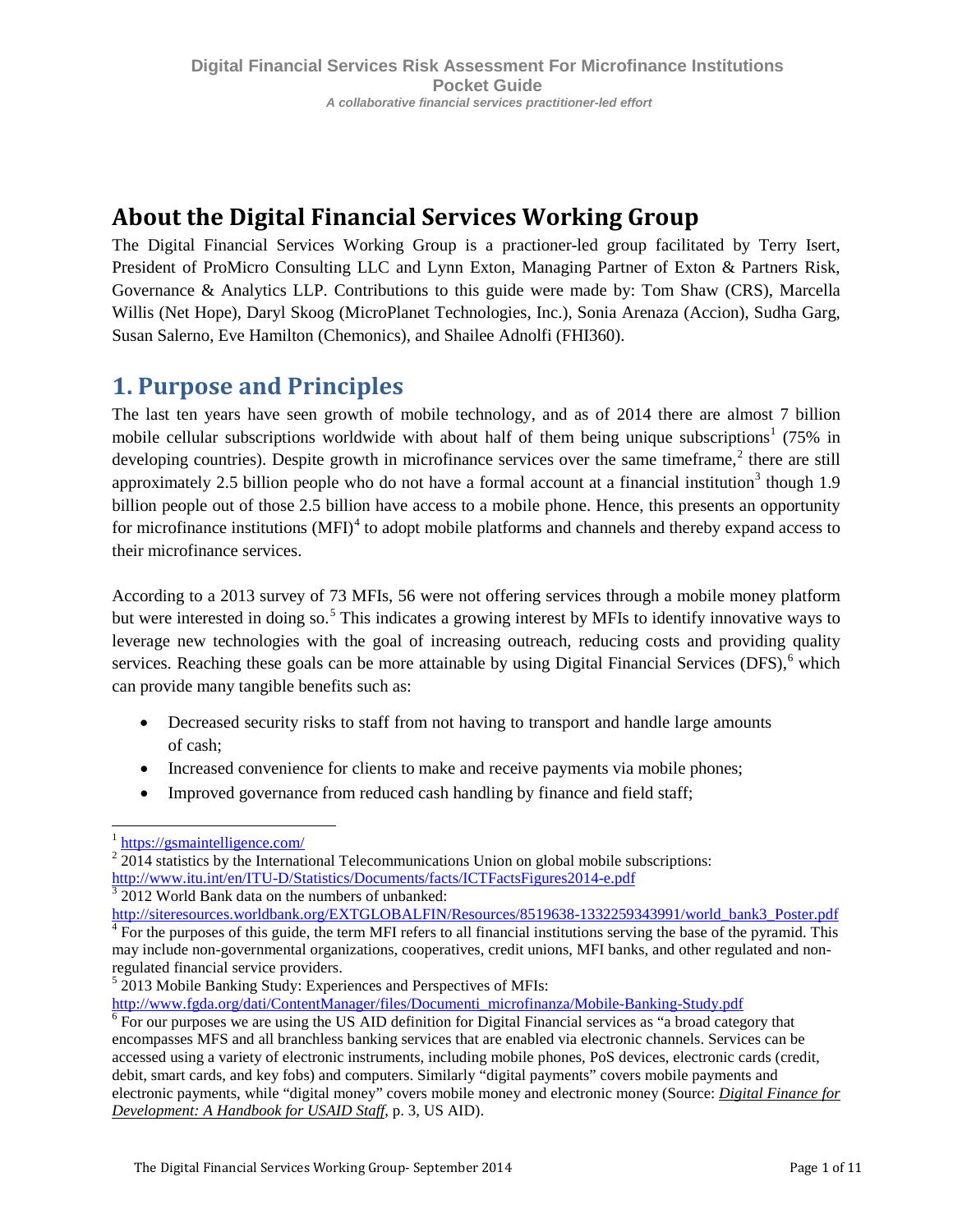# **About the Digital Financial Services Working Group**

The Digital Financial Services Working Group is a practioner-led group facilitated by Terry Isert, President of ProMicro Consulting LLC and Lynn Exton, Managing Partner of Exton & Partners Risk, Governance & Analytics LLP. Contributions to this guide were made by: Tom Shaw (CRS), Marcella Willis (Net Hope), Daryl Skoog (MicroPlanet Technologies, Inc.), Sonia Arenaza (Accion), Sudha Garg, Susan Salerno, Eve Hamilton (Chemonics), and Shailee Adnolfi (FHI360).

# <span id="page-2-0"></span>**1. Purpose and Principles**

The last ten years have seen growth of mobile technology, and as of 2014 there are almost 7 billion mobile cellular subscriptions worldwide with about half of them being unique subscriptions<sup>[1](#page-2-1)</sup> (75% in developing countries). Despite growth in microfinance services over the same timeframe,<sup>[2](#page-2-2)</sup> there are still approximately 2.5 billion people who do not have a formal account at a financial institution<sup>[3](#page-2-3)</sup> though 1.9 billion people out of those 2.5 billion have access to a mobile phone. Hence, this presents an opportunity for microfinance institutions  $(MFI)^4$  $(MFI)^4$  to adopt mobile platforms and channels and thereby expand access to their microfinance services.

According to a 2013 survey of 73 MFIs, 56 were not offering services through a mobile money platform but were interested in doing so.<sup>[5](#page-2-5)</sup> This indicates a growing interest by MFIs to identify innovative ways to leverage new technologies with the goal of increasing outreach, reducing costs and providing quality services. Reaching these goals can be more attainable by using Digital Financial Services (DFS), <sup>[6](#page-2-6)</sup> which can provide many tangible benefits such as:

- Decreased security risks to staff from not having to transport and handle large amounts of cash;
- Increased convenience for clients to make and receive payments via mobile phones;
- Improved governance from reduced cash handling by finance and field staff;

<span id="page-2-1"></span> <sup>1</sup> <https://gsmaintelligence.com/>

<span id="page-2-2"></span> $2\overline{2014}$  statistics by the International Telecommunications Union on global mobile subscriptions:<br>http://www.itu.int/en/ITU-D/Statistics/Documents/facts/ICTFactsFigures2014-e.pdf

<span id="page-2-3"></span> $\frac{3}{3}$  2012 World Bank data on the numbers of unbanked:

<span id="page-2-4"></span>[http://siteresources.worldbank.org/EXTGLOBALFIN/Resources/8519638-1332259343991/world\\_bank3\\_Poster.pdf](http://siteresources.worldbank.org/EXTGLOBALFIN/Resources/8519638-1332259343991/world_bank3_Poster.pdf) 4 For the purposes of this guide, the term MFI refers to all financial institutions serving the base of the pyramid. Th may include non-governmental organizations, cooperatives, credit unions, MFI banks, and other regulated and nonregulated financial service providers.

<span id="page-2-5"></span> $52013$  Mobile Banking Study: Experiences and Perspectives of MFIs:<br>http://www.fgda.org/dati/ContentManager/files/Documenti\_microfinanza/Mobile-Banking-Study.pdf

<span id="page-2-6"></span> $\rm^6$  For our purposes we are using the US AID definition for Digital Financial services as "a broad category that encompasses MFS and all branchless banking services that are enabled via electronic channels. Services can be accessed using a variety of electronic instruments, including mobile phones, PoS devices, electronic cards (credit, debit, smart cards, and key fobs) and computers. Similarly "digital payments" covers mobile payments and electronic payments, while "digital money" covers mobile money and electronic money (Source: *Digital Finance for Development: A Handbook for USAID Staff*, p. 3, US AID).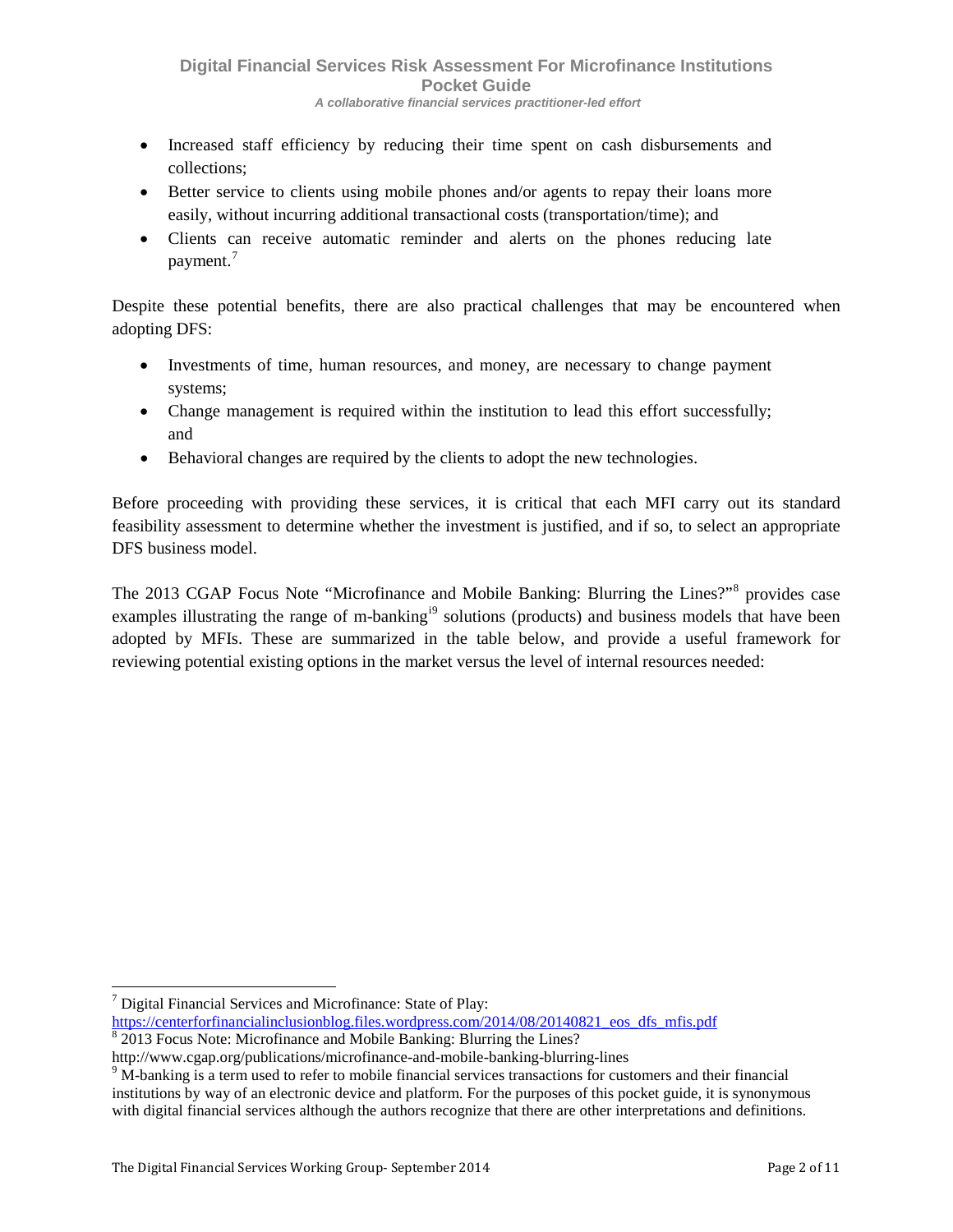- Increased staff efficiency by reducing their time spent on cash disbursements and collections;
- Better service to clients using mobile phones and/or agents to repay their loans more easily, without incurring additional transactional costs (transportation/time); and
- Clients can receive automatic reminder and alerts on the phones reducing late payment.<sup>[7](#page-3-1)</sup>

Despite these potential benefits, there are also practical challenges that may be encountered when adopting DFS:

- Investments of time, human resources, and money, are necessary to change payment systems;
- Change management is required within the institution to lead this effort successfully; and
- Behavioral changes are required by the clients to adopt the new technologies.

Before proceeding with providing these services, it is critical that each MFI carry out its standard feasibility assessment to determine whether the investment is justified, and if so, to select an appropriate DFS business model.

<span id="page-3-0"></span>The 2013 CGAP Focus Note "Microfinance and Mobile Banking: Blurring the Lines?"<sup>[8](#page-3-2)</sup> provides case examples [i](#page-14-0)llustrating the range of m-banking<sup>1[9](#page-3-3)</sup> solutions (products) and business models that have been adopted by MFIs. These are summarized in the table below, and provide a useful framework for reviewing potential existing options in the market versus the level of internal resources needed:

<span id="page-3-1"></span> $<sup>7</sup>$  Digital Financial Services and Microfinance: State of Play:</sup>

[https://centerforfinancialinclusionblog.files.wordpress.com/2014/08/20140821\\_eos\\_dfs\\_mfis.pdf](https://smtp.accion.org/owa/redir.aspx?C=J5dLbRSxDEif7ReUSndNTQpOJGHinNEIb5R-jCbX5nzD18gTK8zNU50lGst6uOrFA5J8YHMs2rQ.&URL=https%3a%2f%2fcenterforfinancialinclusionblog.files.wordpress.com%2f2014%2f08%2f20140821_eos_dfs_mfis.pdf)

<span id="page-3-2"></span> $\frac{8}{8}$  2013 Focus Note: Microfinance and Mobile Banking: Blurring the Lines?

<span id="page-3-3"></span>http://www.cgap.org/publications/microfinance-and-mobile-banking-blurring-lines 9 M-banking is a term used to refer to mobile financial services transactions for customers and their financial institutions by way of an electronic device and platform. For the purposes of this pocket guide, it is synonymous with digital financial services although the authors recognize that there are other interpretations and definitions.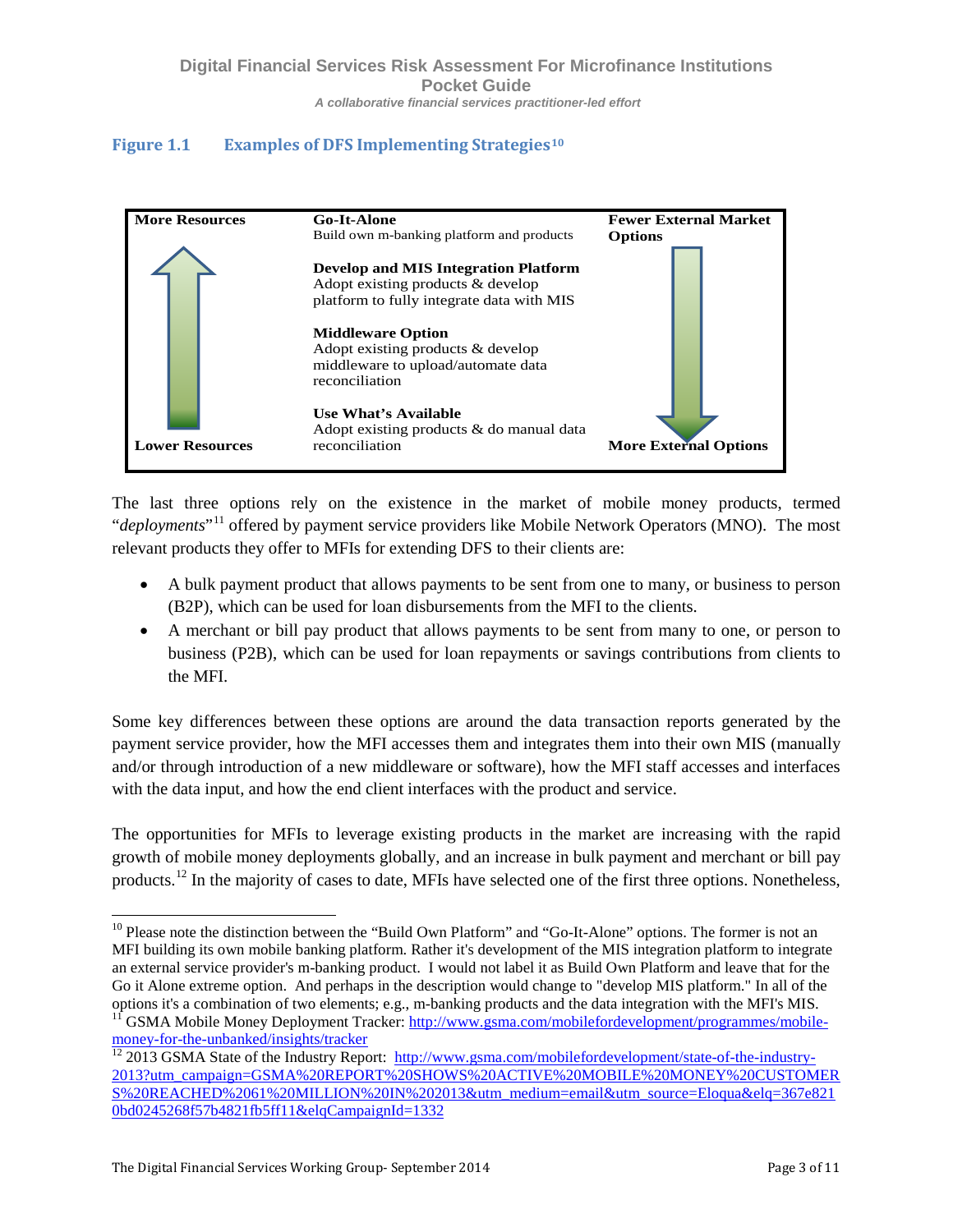### **Figure 1.1 Examples of DFS Implementing Strategies[10](#page-4-0)**



The last three options rely on the existence in the market of mobile money products, termed "*deployments*"<sup>[11](#page-4-1)</sup> offered by payment service providers like Mobile Network Operators (MNO). The most relevant products they offer to MFIs for extending DFS to their clients are:

- A bulk payment product that allows payments to be sent from one to many, or business to person (B2P), which can be used for loan disbursements from the MFI to the clients.
- A merchant or bill pay product that allows payments to be sent from many to one, or person to business (P2B), which can be used for loan repayments or savings contributions from clients to the MFI.

Some key differences between these options are around the data transaction reports generated by the payment service provider, how the MFI accesses them and integrates them into their own MIS (manually and/or through introduction of a new middleware or software), how the MFI staff accesses and interfaces with the data input, and how the end client interfaces with the product and service.

The opportunities for MFIs to leverage existing products in the market are increasing with the rapid growth of mobile money deployments globally, and an increase in bulk payment and merchant or bill pay products.<sup>[12](#page-4-2)</sup> In the majority of cases to date, MFIs have selected one of the first three options. Nonetheless,

<span id="page-4-0"></span><sup>&</sup>lt;sup>10</sup> Please note the distinction between the "Build Own Platform" and "Go-It-Alone" options. The former is not an MFI building its own mobile banking platform. Rather it's development of the MIS integration platform to integrate an external service provider's m-banking product. I would not label it as Build Own Platform and leave that for the Go it Alone extreme option. And perhaps in the description would change to "develop MIS platform." In all of the

<span id="page-4-1"></span>options it's a combination of two elements; e.g., m-banking products and the data integration with the MFI's MIS.<br><sup>11</sup> GSMA Mobile Money Deployment Tracker: <u>http://www.gsma.com/mobilefordevelopment/programmes/mobile-</u><br>mon

<span id="page-4-2"></span> $\frac{12}{2013}$  GSMA State of the Industry Report: [http://www.gsma.com/mobilefordevelopment/state-of-the-industry-](http://www.gsma.com/mobilefordevelopment/state-of-the-industry-2013?utm_campaign=GSMA%20REPORT%20SHOWS%20ACTIVE%20MOBILE%20MONEY%20CUSTOMERS%20REACHED%2061%20MILLION%20IN%202013&utm_medium=email&utm_source=Eloqua&elq=367e8210bd0245268f57b4821fb5ff11&elqCampaignId=1332)[2013?utm\\_campaign=GSMA%20REPORT%20SHOWS%20ACTIVE%20MOBILE%20MONEY%20CUSTOMER](http://www.gsma.com/mobilefordevelopment/state-of-the-industry-2013?utm_campaign=GSMA%20REPORT%20SHOWS%20ACTIVE%20MOBILE%20MONEY%20CUSTOMERS%20REACHED%2061%20MILLION%20IN%202013&utm_medium=email&utm_source=Eloqua&elq=367e8210bd0245268f57b4821fb5ff11&elqCampaignId=1332) [S%20REACHED%2061%20MILLION%20IN%202013&utm\\_medium=email&utm\\_source=Eloqua&elq=367e821](http://www.gsma.com/mobilefordevelopment/state-of-the-industry-2013?utm_campaign=GSMA%20REPORT%20SHOWS%20ACTIVE%20MOBILE%20MONEY%20CUSTOMERS%20REACHED%2061%20MILLION%20IN%202013&utm_medium=email&utm_source=Eloqua&elq=367e8210bd0245268f57b4821fb5ff11&elqCampaignId=1332) [0bd0245268f57b4821fb5ff11&elqCampaignId=1332](http://www.gsma.com/mobilefordevelopment/state-of-the-industry-2013?utm_campaign=GSMA%20REPORT%20SHOWS%20ACTIVE%20MOBILE%20MONEY%20CUSTOMERS%20REACHED%2061%20MILLION%20IN%202013&utm_medium=email&utm_source=Eloqua&elq=367e8210bd0245268f57b4821fb5ff11&elqCampaignId=1332)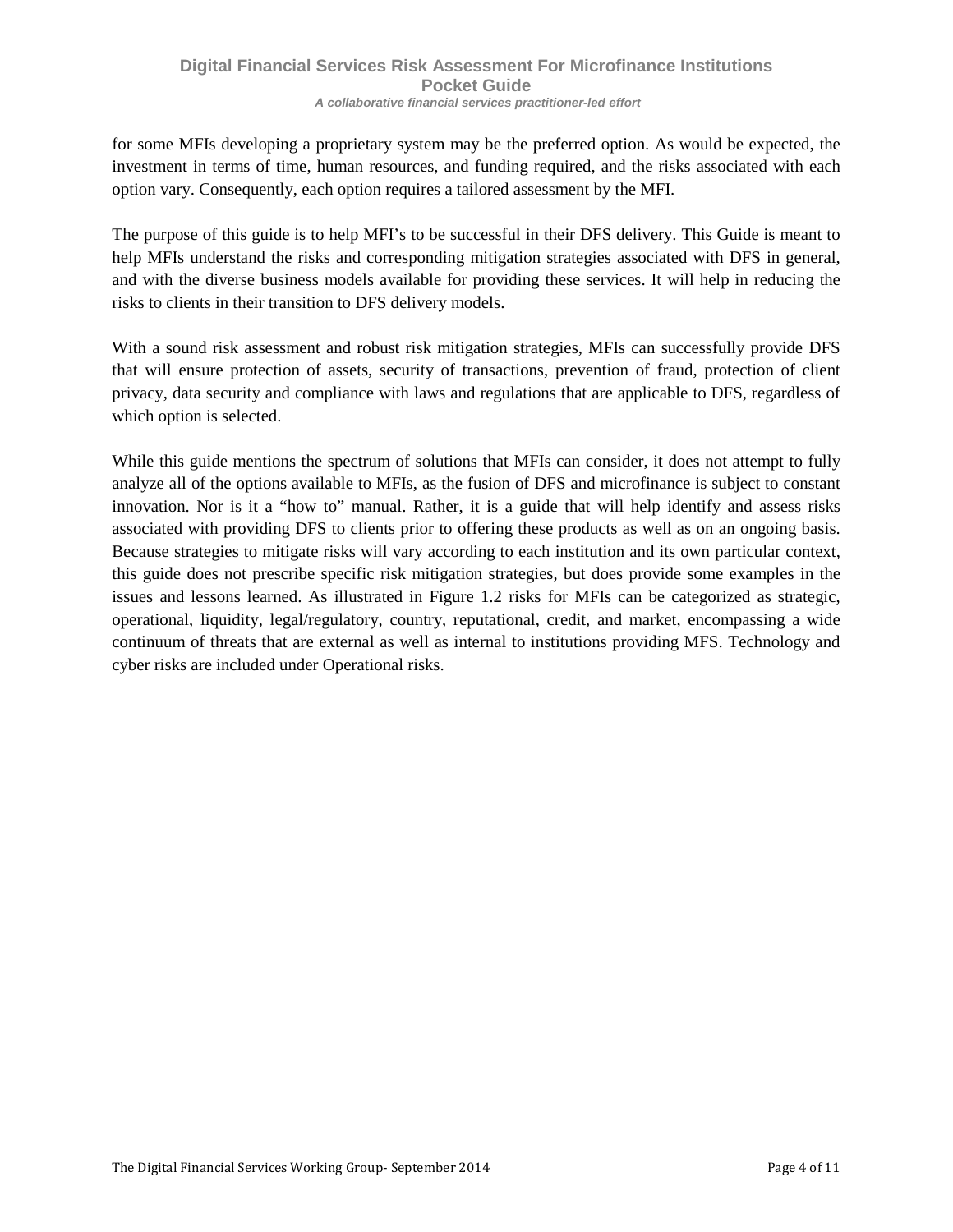for some MFIs developing a proprietary system may be the preferred option. As would be expected, the investment in terms of time, human resources, and funding required, and the risks associated with each option vary. Consequently, each option requires a tailored assessment by the MFI.

The purpose of this guide is to help MFI's to be successful in their DFS delivery. This Guide is meant to help MFIs understand the risks and corresponding mitigation strategies associated with DFS in general, and with the diverse business models available for providing these services. It will help in reducing the risks to clients in their transition to DFS delivery models.

With a sound risk assessment and robust risk mitigation strategies, MFIs can successfully provide DFS that will ensure protection of assets, security of transactions, prevention of fraud, protection of client privacy, data security and compliance with laws and regulations that are applicable to DFS, regardless of which option is selected.

<span id="page-5-0"></span>While this guide mentions the spectrum of solutions that MFIs can consider, it does not attempt to fully analyze all of the options available to MFIs, as the fusion of DFS and microfinance is subject to constant innovation. Nor is it a "how to" manual. Rather, it is a guide that will help identify and assess risks associated with providing DFS to clients prior to offering these products as well as on an ongoing basis. Because strategies to mitigate risks will vary according to each institution and its own particular context, this guide does not prescribe specific risk mitigation strategies, but does provide some examples in the issues and lessons learned. As illustrated in Figure 1.2 risks for MFIs can be categorized as strategic, operational, liquidity, legal/regulatory, country, reputational, credit, and market, encompassing a wide continuum of threats that are external as well as internal to institutions providing MFS. Technology and cyber risks are included under Operational risks.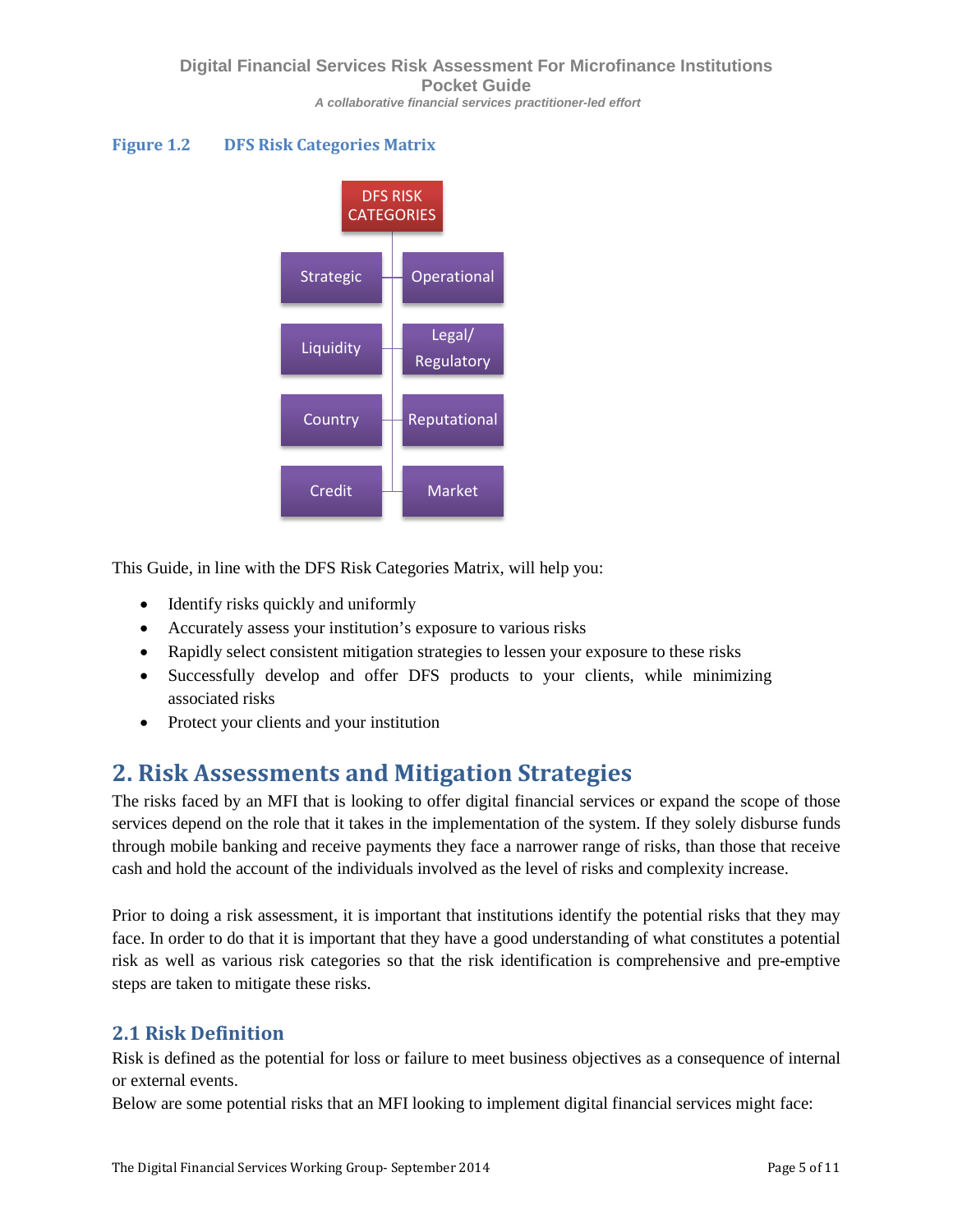### **Figure 1.2 DFS Risk Categories Matrix**



This Guide, in line with the DFS Risk Categories Matrix, will help you:

- Identify risks quickly and uniformly
- Accurately assess your institution's exposure to various risks
- Rapidly select consistent mitigation strategies to lessen your exposure to these risks
- Successfully develop and offer DFS products to your clients, while minimizing associated risks
- Protect your clients and your institution

## <span id="page-6-0"></span>**2. Risk Assessments and Mitigation Strategies**

The risks faced by an MFI that is looking to offer digital financial services or expand the scope of those services depend on the role that it takes in the implementation of the system. If they solely disburse funds through mobile banking and receive payments they face a narrower range of risks, than those that receive cash and hold the account of the individuals involved as the level of risks and complexity increase.

Prior to doing a risk assessment, it is important that institutions identify the potential risks that they may face. In order to do that it is important that they have a good understanding of what constitutes a potential risk as well as various risk categories so that the risk identification is comprehensive and pre-emptive steps are taken to mitigate these risks.

### <span id="page-6-1"></span>**2.1 Risk Definition**

Risk is defined as the potential for loss or failure to meet business objectives as a consequence of internal or external events.

Below are some potential risks that an MFI looking to implement digital financial services might face: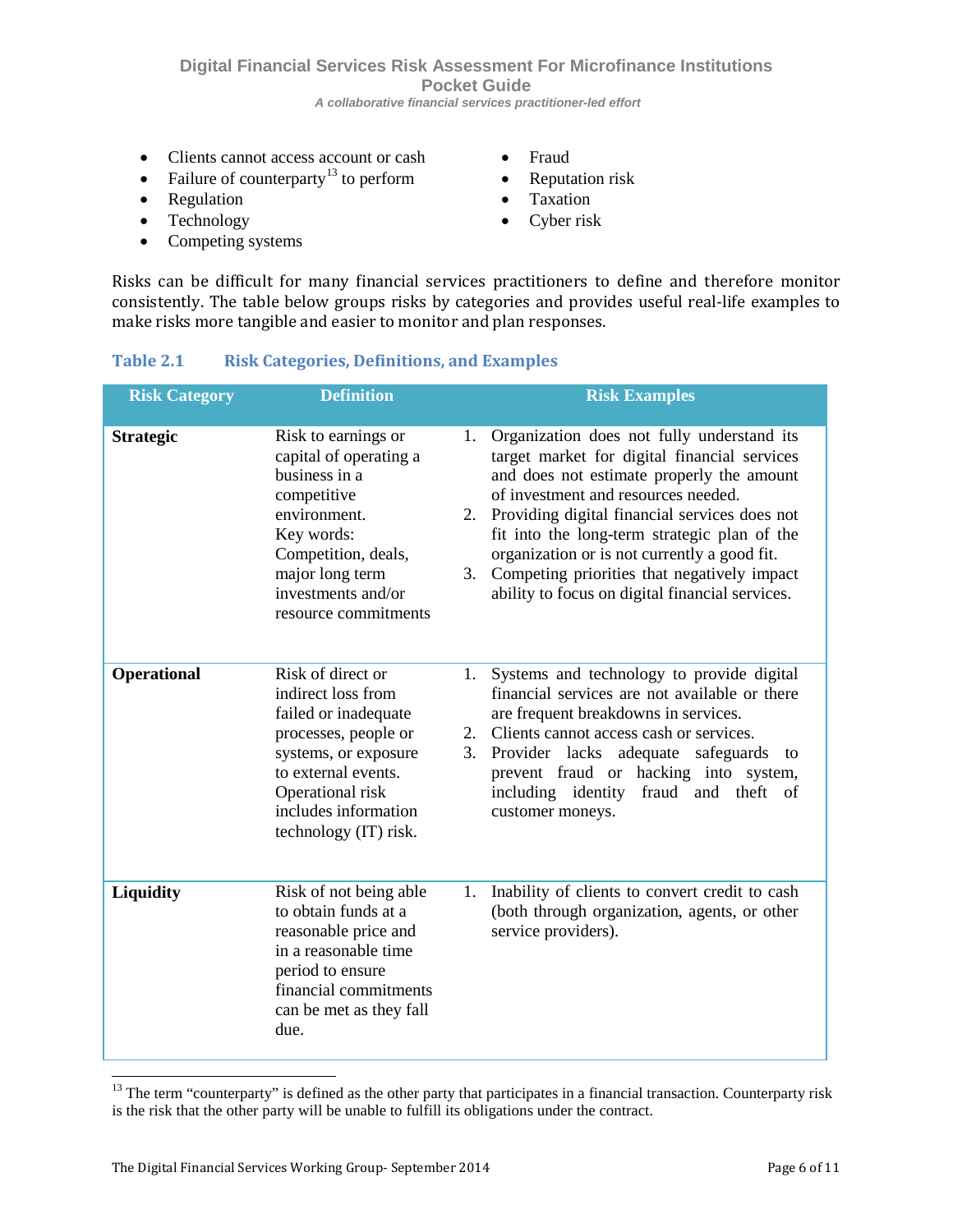**Digital Financial Services Risk Assessment For Microfinance Institutions Pocket Guide**  *A collaborative financial services practitioner-led effort*

- Clients cannot access account or cash
- Failure of counterparty<sup>[13](#page-7-1)</sup> to perform
- Regulation
- Technology
- Competing systems
- Fraud
- Reputation risk
- Taxation
- Cyber risk

Risks can be difficult for many financial services practitioners to define and therefore monitor consistently. The table below groups risks by categories and provides useful real-life examples to make risks more tangible and easier to monitor and plan responses.

### <span id="page-7-0"></span>**Table 2.1 Risk Categories, Definitions, and Examples**

| <b>Risk Category</b> | <b>Definition</b>                                                                                                                                                                                           |                | <b>Risk Examples</b>                                                                                                                                                                                                                                                                                                                                                                                                              |
|----------------------|-------------------------------------------------------------------------------------------------------------------------------------------------------------------------------------------------------------|----------------|-----------------------------------------------------------------------------------------------------------------------------------------------------------------------------------------------------------------------------------------------------------------------------------------------------------------------------------------------------------------------------------------------------------------------------------|
| <b>Strategic</b>     | Risk to earnings or<br>capital of operating a<br>business in a<br>competitive<br>environment.<br>Key words:<br>Competition, deals,<br>major long term<br>investments and/or<br>resource commitments         | 1.<br>2.<br>3. | Organization does not fully understand its<br>target market for digital financial services<br>and does not estimate properly the amount<br>of investment and resources needed.<br>Providing digital financial services does not<br>fit into the long-term strategic plan of the<br>organization or is not currently a good fit.<br>Competing priorities that negatively impact<br>ability to focus on digital financial services. |
| <b>Operational</b>   | Risk of direct or<br>indirect loss from<br>failed or inadequate<br>processes, people or<br>systems, or exposure<br>to external events.<br>Operational risk<br>includes information<br>technology (IT) risk. | 1.<br>3.       | Systems and technology to provide digital<br>financial services are not available or there<br>are frequent breakdowns in services.<br>2. Clients cannot access cash or services.<br>Provider lacks<br>adequate<br>safeguards<br>to<br>prevent fraud or hacking into system,<br>including identity fraud and<br>theft<br>- of<br>customer moneys.                                                                                  |
| Liquidity            | Risk of not being able<br>to obtain funds at a<br>reasonable price and<br>in a reasonable time<br>period to ensure<br>financial commitments<br>can be met as they fall<br>due.                              | 1.             | Inability of clients to convert credit to cash<br>(both through organization, agents, or other<br>service providers).                                                                                                                                                                                                                                                                                                             |

<span id="page-7-1"></span> $13$  The term "counterparty" is defined as the other party that participates in a financial transaction. Counterparty risk is the risk that the other party will be unable to fulfill its obligations under the contract.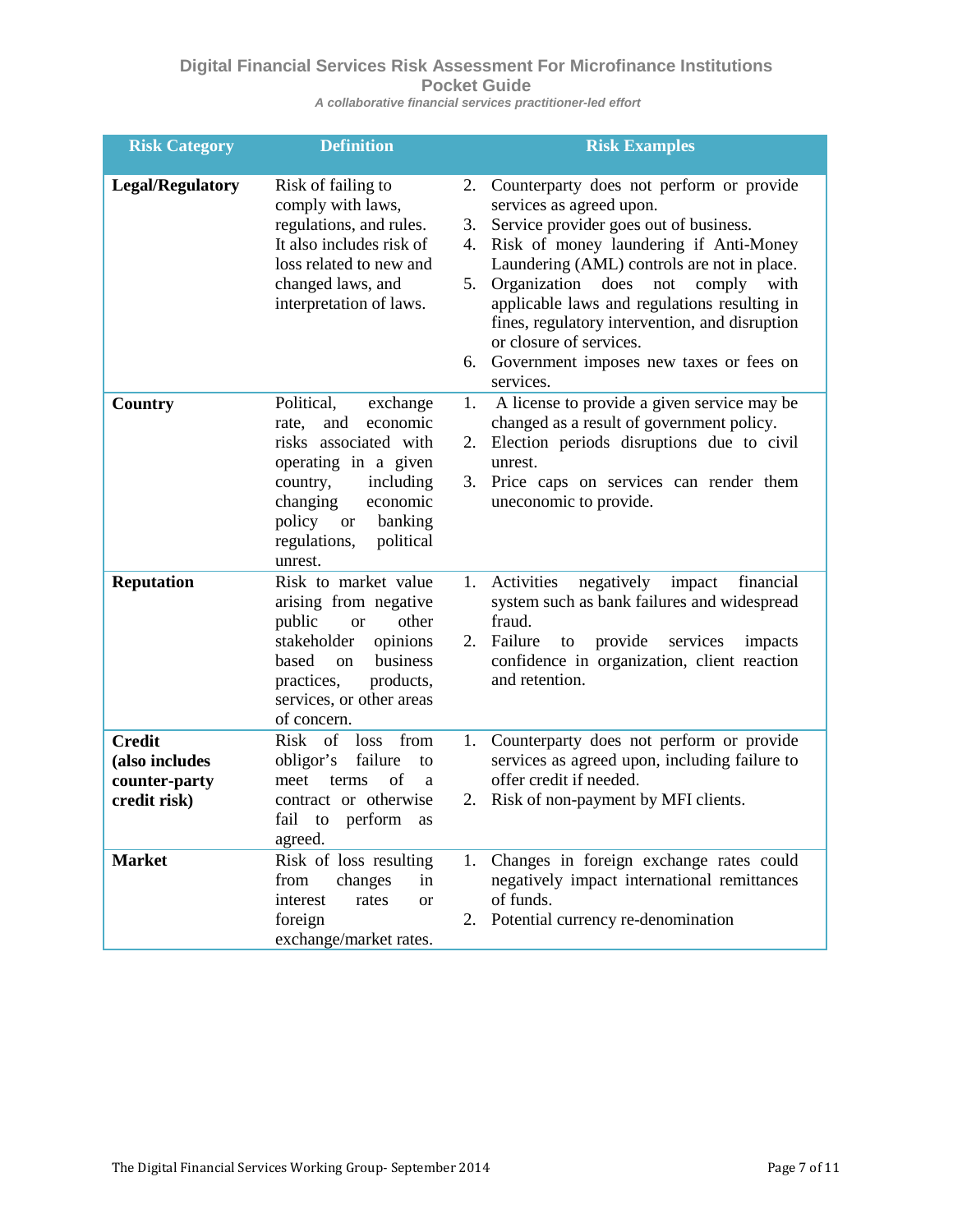### **Digital Financial Services Risk Assessment For Microfinance Institutions Pocket Guide**

*A collaborative financial services practitioner-led effort*

<span id="page-8-0"></span>

| <b>Risk Category</b>                                             | <b>Definition</b>                                                                                                                                                                                                              |                            | <b>Risk Examples</b>                                                                                                                                                                                                                                                                                                                                                                                                                          |
|------------------------------------------------------------------|--------------------------------------------------------------------------------------------------------------------------------------------------------------------------------------------------------------------------------|----------------------------|-----------------------------------------------------------------------------------------------------------------------------------------------------------------------------------------------------------------------------------------------------------------------------------------------------------------------------------------------------------------------------------------------------------------------------------------------|
| <b>Legal/Regulatory</b>                                          | Risk of failing to<br>comply with laws,<br>regulations, and rules.<br>It also includes risk of<br>loss related to new and<br>changed laws, and<br>interpretation of laws.                                                      | 2.<br>3.<br>4.<br>5.<br>6. | Counterparty does not perform or provide<br>services as agreed upon.<br>Service provider goes out of business.<br>Risk of money laundering if Anti-Money<br>Laundering (AML) controls are not in place.<br>Organization<br>does<br>not<br>comply<br>with<br>applicable laws and regulations resulting in<br>fines, regulatory intervention, and disruption<br>or closure of services.<br>Government imposes new taxes or fees on<br>services. |
| Country                                                          | Political,<br>exchange<br>and<br>economic<br>rate,<br>risks associated with<br>operating in a given<br>including<br>country,<br>economic<br>changing<br>policy<br>banking<br><b>or</b><br>regulations,<br>political<br>unrest. | 1.<br>2.<br>3.             | A license to provide a given service may be<br>changed as a result of government policy.<br>Election periods disruptions due to civil<br>unrest.<br>Price caps on services can render them<br>uneconomic to provide.                                                                                                                                                                                                                          |
| <b>Reputation</b>                                                | Risk to market value<br>arising from negative<br>public<br>other<br><b>or</b><br>stakeholder<br>opinions<br>based<br>business<br><sub>on</sub><br>practices,<br>products,<br>services, or other areas<br>of concern.           | 1.<br>2.                   | Activities<br>negatively<br>financial<br>impact<br>system such as bank failures and widespread<br>fraud.<br>Failure<br>provide<br>services<br>to<br>impacts<br>confidence in organization, client reaction<br>and retention.                                                                                                                                                                                                                  |
| <b>Credit</b><br>(also includes<br>counter-party<br>credit risk) | <b>Risk</b><br>of<br>from<br>loss<br>failure<br>obligor's<br>to<br>of<br>meet<br>terms<br>a<br>contract or otherwise<br>perform<br>fail<br>to<br>as<br>agreed.                                                                 | 1.<br>2.                   | Counterparty does not perform or provide<br>services as agreed upon, including failure to<br>offer credit if needed.<br>Risk of non-payment by MFI clients.                                                                                                                                                                                                                                                                                   |
| <b>Market</b>                                                    | Risk of loss resulting<br>from<br>changes<br>in<br>interest<br>rates<br><b>or</b><br>foreign<br>exchange/market rates.                                                                                                         | 2.                         | 1. Changes in foreign exchange rates could<br>negatively impact international remittances<br>of funds.<br>Potential currency re-denomination                                                                                                                                                                                                                                                                                                  |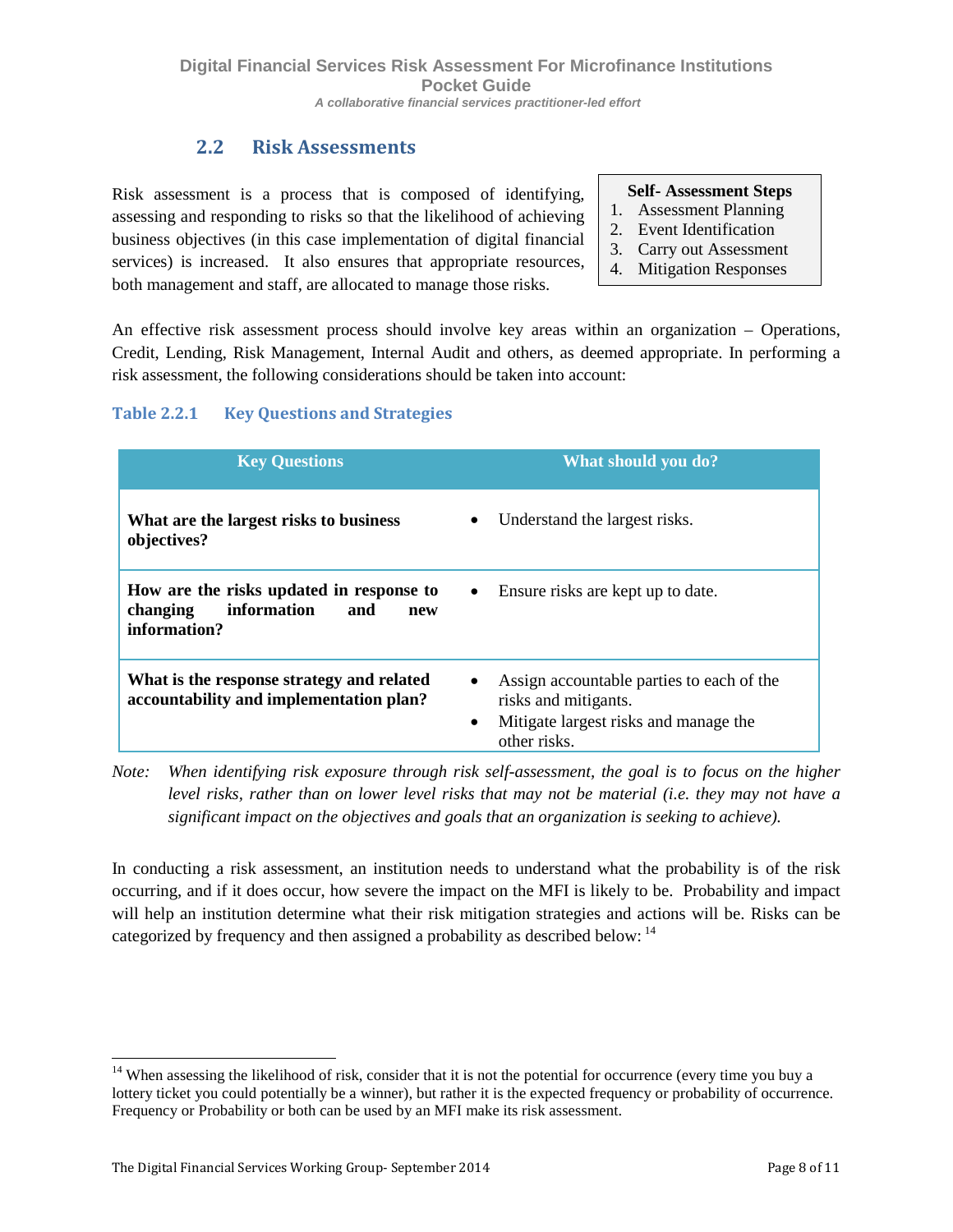### **2.2 Risk Assessments**

Risk assessment is a process that is composed of identifying, assessing and responding to risks so that the likelihood of achieving business objectives (in this case implementation of digital financial services) is increased. It also ensures that appropriate resources, both management and staff, are allocated to manage those risks.

**Self- Assessment Steps**

- 1. Assessment Planning
- 2. Event Identification
- 3. Carry out Assessment
- <span id="page-9-0"></span>4. Mitigation Responses

An effective risk assessment process should involve key areas within an organization – Operations, Credit, Lending, Risk Management, Internal Audit and others, as deemed appropriate. In performing a risk assessment, the following considerations should be taken into account:

### **Table 2.2.1 Key Questions and Strategies**

| <b>Key Questions</b>                                                                              | What should you do?                                                                                                                                  |
|---------------------------------------------------------------------------------------------------|------------------------------------------------------------------------------------------------------------------------------------------------------|
| What are the largest risks to business<br>objectives?                                             | Understand the largest risks.<br>$\bullet$                                                                                                           |
| How are the risks updated in response to<br>information<br>changing<br>and<br>new<br>information? | Ensure risks are kept up to date.<br>$\bullet$                                                                                                       |
| What is the response strategy and related<br>accountability and implementation plan?              | Assign accountable parties to each of the<br>$\bullet$<br>risks and mitigants.<br>Mitigate largest risks and manage the<br>$\bullet$<br>other risks. |

*Note: When identifying risk exposure through risk self-assessment, the goal is to focus on the higher level risks, rather than on lower level risks that may not be material (i.e. they may not have a significant impact on the objectives and goals that an organization is seeking to achieve).*

In conducting a risk assessment, an institution needs to understand what the probability is of the risk occurring, and if it does occur, how severe the impact on the MFI is likely to be. Probability and impact will help an institution determine what their risk mitigation strategies and actions will be. Risks can be categorized by frequency and then assigned a probability as described below: [14](#page-9-1)

<span id="page-9-1"></span> $14$  When assessing the likelihood of risk, consider that it is not the potential for occurrence (every time you buy a lottery ticket you could potentially be a winner), but rather it is the expected frequency or probability of occurrence. Frequency or Probability or both can be used by an MFI make its risk assessment.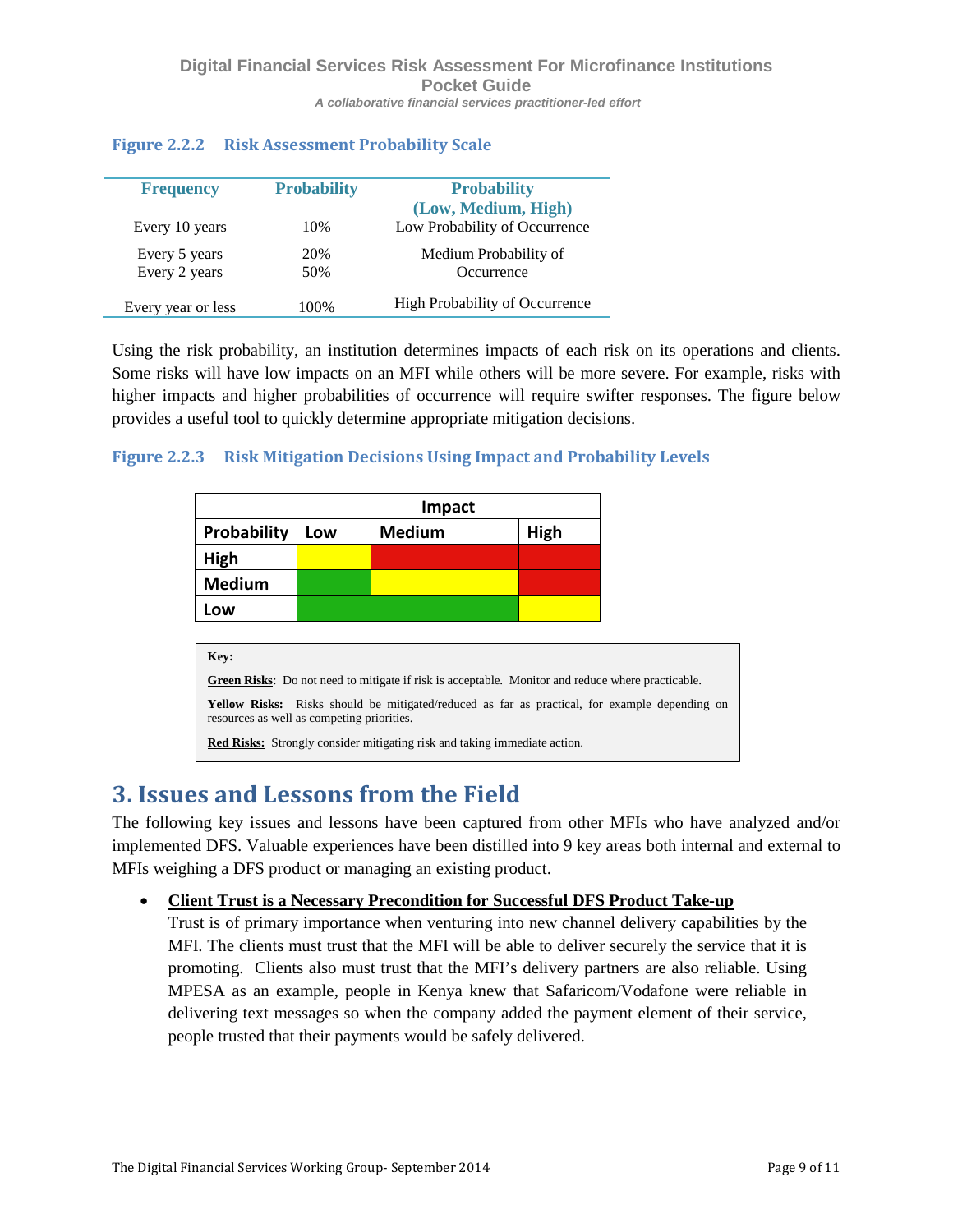| <b>Frequency</b>   | <b>Probability</b> | <b>Probability</b>             |
|--------------------|--------------------|--------------------------------|
|                    |                    | (Low, Medium, High)            |
| Every 10 years     | 10%                | Low Probability of Occurrence  |
| Every 5 years      | 20%                | Medium Probability of          |
| Every 2 years      | 50%                | Occurrence                     |
| Every year or less | 100%               | High Probability of Occurrence |
|                    |                    |                                |

### **Figure 2.2.2 Risk Assessment Probability Scale**

Using the risk probability, an institution determines impacts of each risk on its operations and clients. Some risks will have low impacts on an MFI while others will be more severe. For example, risks with higher impacts and higher probabilities of occurrence will require swifter responses. The figure below provides a useful tool to quickly determine appropriate mitigation decisions.

### **Figure 2.2.3 Risk Mitigation Decisions Using Impact and Probability Levels**

|               |     | Impact        |      |
|---------------|-----|---------------|------|
| Probability   | Low | <b>Medium</b> | High |
| High          |     |               |      |
| <b>Medium</b> |     |               |      |
| Low           |     |               |      |

| Key:                                                                                                                                        |
|---------------------------------------------------------------------------------------------------------------------------------------------|
| <b>Green Risks:</b> Do not need to mitigate if risk is acceptable. Monitor and reduce where practicable.                                    |
| Yellow Risks: Risks should be mitigated/reduced as far as practical, for example depending on<br>resources as well as competing priorities. |
| <b>Red Risks:</b> Strongly consider mitigating risk and taking immediate action.                                                            |

## <span id="page-10-0"></span>**3. Issues and Lessons from the Field**

The following key issues and lessons have been captured from other MFIs who have analyzed and/or implemented DFS. Valuable experiences have been distilled into 9 key areas both internal and external to MFIs weighing a DFS product or managing an existing product.

### • **Client Trust is a Necessary Precondition for Successful DFS Product Take-up**

Trust is of primary importance when venturing into new channel delivery capabilities by the MFI. The clients must trust that the MFI will be able to deliver securely the service that it is promoting. Clients also must trust that the MFI's delivery partners are also reliable. Using MPESA as an example, people in Kenya knew that Safaricom/Vodafone were reliable in delivering text messages so when the company added the payment element of their service, people trusted that their payments would be safely delivered.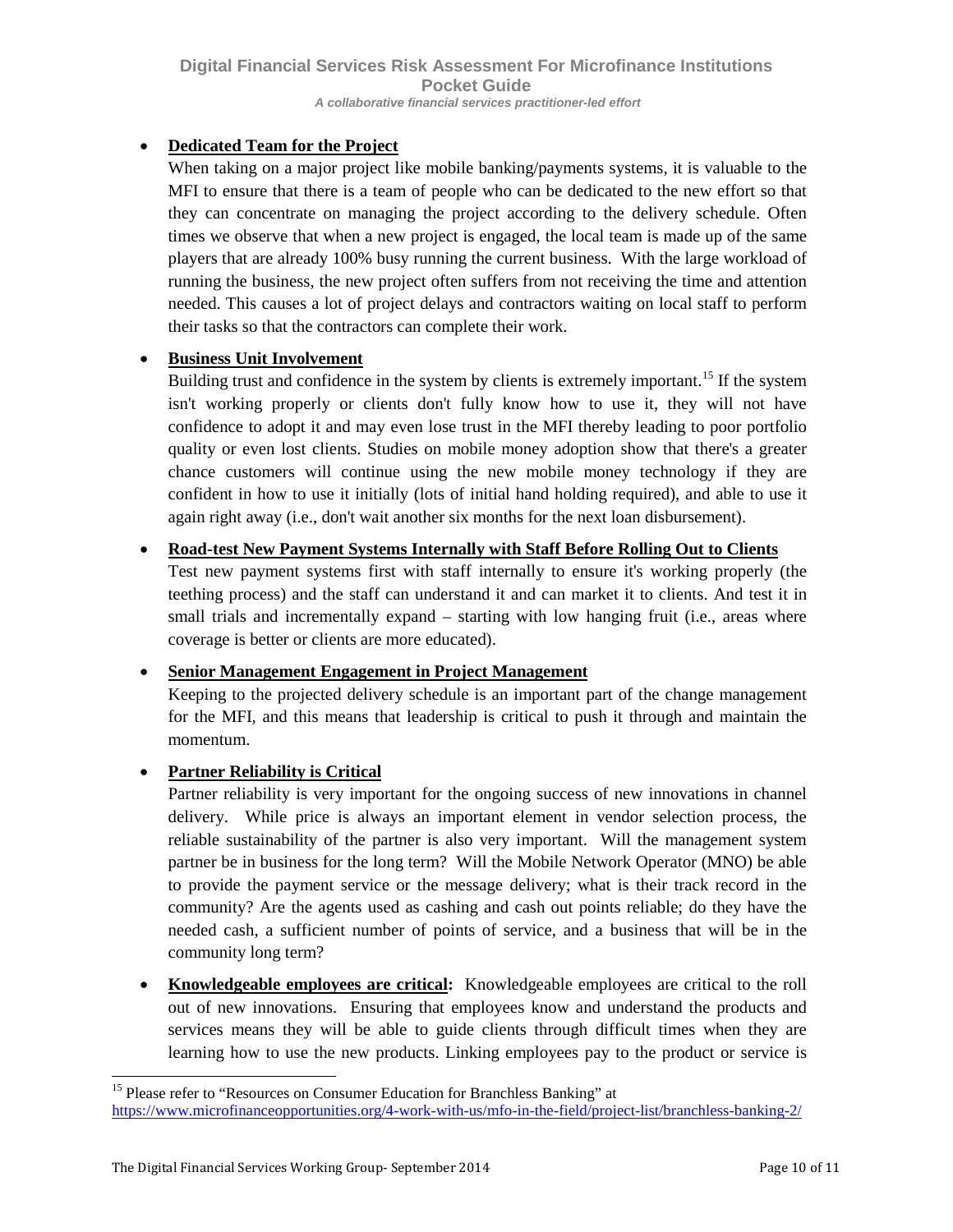### • **Dedicated Team for the Project**

When taking on a major project like mobile banking/payments systems, it is valuable to the MFI to ensure that there is a team of people who can be dedicated to the new effort so that they can concentrate on managing the project according to the delivery schedule. Often times we observe that when a new project is engaged, the local team is made up of the same players that are already 100% busy running the current business. With the large workload of running the business, the new project often suffers from not receiving the time and attention needed. This causes a lot of project delays and contractors waiting on local staff to perform their tasks so that the contractors can complete their work.

#### • **Business Unit Involvement**

Building trust and confidence in the system by clients is extremely important.<sup>[15](#page-11-0)</sup> If the system isn't working properly or clients don't fully know how to use it, they will not have confidence to adopt it and may even lose trust in the MFI thereby leading to poor portfolio quality or even lost clients. Studies on mobile money adoption show that there's a greater chance customers will continue using the new mobile money technology if they are confident in how to use it initially (lots of initial hand holding required), and able to use it again right away (i.e., don't wait another six months for the next loan disbursement).

### • **Road-test New Payment Systems Internally with Staff Before Rolling Out to Clients**

Test new payment systems first with staff internally to ensure it's working properly (the teething process) and the staff can understand it and can market it to clients. And test it in small trials and incrementally expand – starting with low hanging fruit (i.e., areas where coverage is better or clients are more educated).

### • **Senior Management Engagement in Project Management**

Keeping to the projected delivery schedule is an important part of the change management for the MFI, and this means that leadership is critical to push it through and maintain the momentum.

### • **Partner Reliability is Critical**

Partner reliability is very important for the ongoing success of new innovations in channel delivery. While price is always an important element in vendor selection process, the reliable sustainability of the partner is also very important. Will the management system partner be in business for the long term? Will the Mobile Network Operator (MNO) be able to provide the payment service or the message delivery; what is their track record in the community? Are the agents used as cashing and cash out points reliable; do they have the needed cash, a sufficient number of points of service, and a business that will be in the community long term?

• **Knowledgeable employees are critical:** Knowledgeable employees are critical to the roll out of new innovations. Ensuring that employees know and understand the products and services means they will be able to guide clients through difficult times when they are learning how to use the new products. Linking employees pay to the product or service is

<span id="page-11-0"></span><sup>&</sup>lt;sup>15</sup> Please refer to "Resources on Consumer Education for Branchless Banking" at <https://www.microfinanceopportunities.org/4-work-with-us/mfo-in-the-field/project-list/branchless-banking-2/>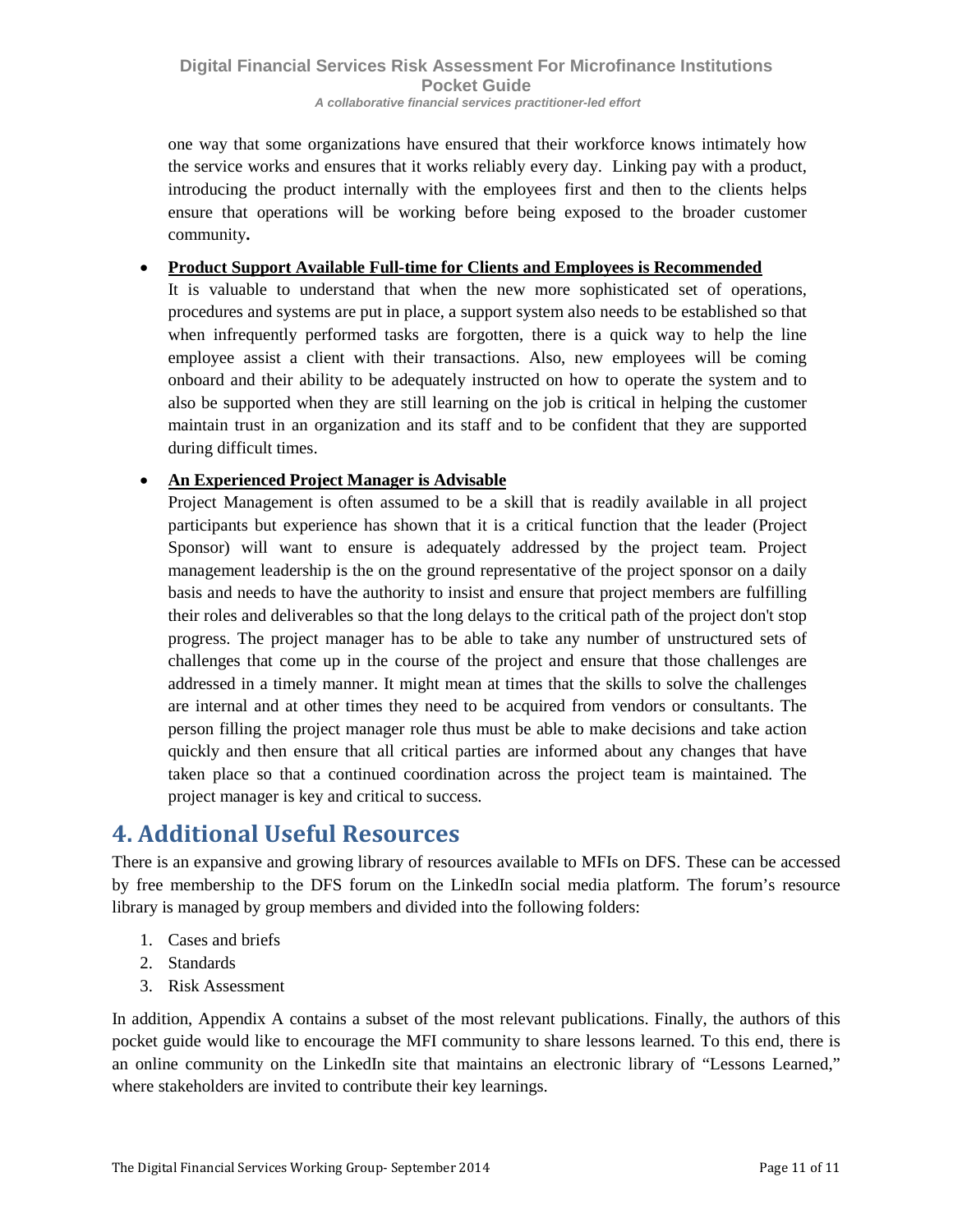one way that some organizations have ensured that their workforce knows intimately how the service works and ensures that it works reliably every day. Linking pay with a product, introducing the product internally with the employees first and then to the clients helps ensure that operations will be working before being exposed to the broader customer community**.**

#### • **Product Support Available Full-time for Clients and Employees is Recommended**

It is valuable to understand that when the new more sophisticated set of operations, procedures and systems are put in place, a support system also needs to be established so that when infrequently performed tasks are forgotten, there is a quick way to help the line employee assist a client with their transactions. Also, new employees will be coming onboard and their ability to be adequately instructed on how to operate the system and to also be supported when they are still learning on the job is critical in helping the customer maintain trust in an organization and its staff and to be confident that they are supported during difficult times.

### • **An Experienced Project Manager is Advisable**

Project Management is often assumed to be a skill that is readily available in all project participants but experience has shown that it is a critical function that the leader (Project Sponsor) will want to ensure is adequately addressed by the project team. Project management leadership is the on the ground representative of the project sponsor on a daily basis and needs to have the authority to insist and ensure that project members are fulfilling their roles and deliverables so that the long delays to the critical path of the project don't stop progress. The project manager has to be able to take any number of unstructured sets of challenges that come up in the course of the project and ensure that those challenges are addressed in a timely manner. It might mean at times that the skills to solve the challenges are internal and at other times they need to be acquired from vendors or consultants. The person filling the project manager role thus must be able to make decisions and take action quickly and then ensure that all critical parties are informed about any changes that have taken place so that a continued coordination across the project team is maintained. The project manager is key and critical to success.

## <span id="page-12-0"></span>**4. Additional Useful Resources**

There is an expansive and growing library of resources available to MFIs on DFS. These can be accessed by free membership to the DFS forum on the LinkedIn social media platform. The forum's resource library is managed by group members and divided into the following folders:

- 1. Cases and briefs
- 2. Standards
- 3. Risk Assessment

In addition, Appendix A contains a subset of the most relevant publications. Finally, the authors of this pocket guide would like to encourage the MFI community to share lessons learned. To this end, there is an online community on the LinkedIn site that maintains an electronic library of "Lessons Learned," where stakeholders are invited to contribute their key learnings.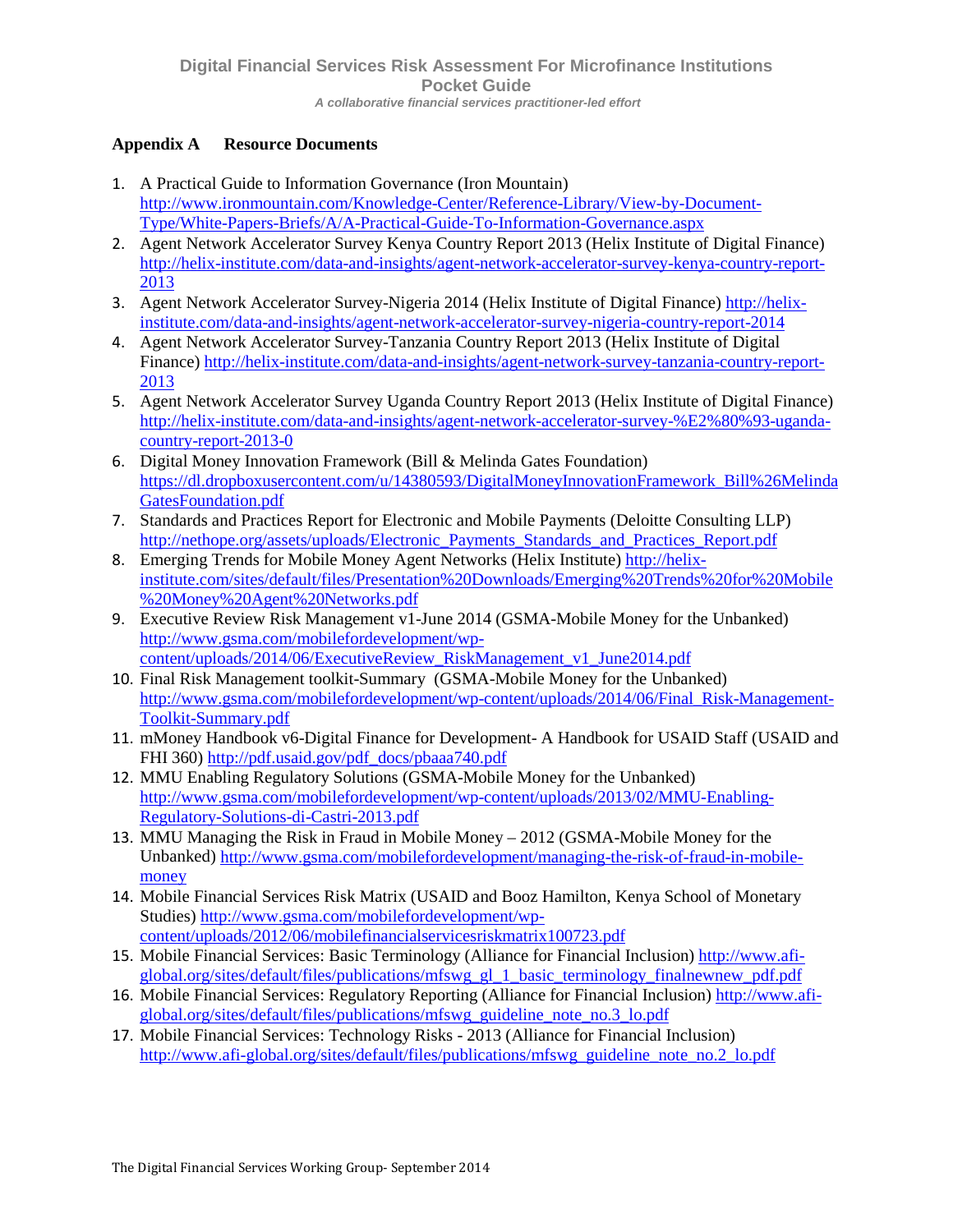### **Appendix A Resource Documents**

- 1. A Practical Guide to Information Governance (Iron Mountain) [http://www.ironmountain.com/Knowledge-Center/Reference-Library/View-by-Document-](http://www.ironmountain.com/Knowledge-Center/Reference-Library/View-by-Document-Type/White-Papers-Briefs/A/A-Practical-Guide-To-Information-Governance.aspx)[Type/White-Papers-Briefs/A/A-Practical-Guide-To-Information-Governance.aspx](http://www.ironmountain.com/Knowledge-Center/Reference-Library/View-by-Document-Type/White-Papers-Briefs/A/A-Practical-Guide-To-Information-Governance.aspx)
- 2. Agent Network Accelerator Survey Kenya Country Report 2013 (Helix Institute of Digital Finance) [http://helix-institute.com/data-and-insights/agent-network-accelerator-survey-kenya-country-report-](http://helix-institute.com/data-and-insights/agent-network-accelerator-survey-kenya-country-report-2013)[2013](http://helix-institute.com/data-and-insights/agent-network-accelerator-survey-kenya-country-report-2013)
- 3. Agent Network Accelerator Survey-Nigeria 2014 (Helix Institute of Digital Finance) [http://helix](http://helix-institute.com/data-and-insights/agent-network-accelerator-survey-nigeria-country-report-2014)[institute.com/data-and-insights/agent-network-accelerator-survey-nigeria-country-report-2014](http://helix-institute.com/data-and-insights/agent-network-accelerator-survey-nigeria-country-report-2014)
- 4. Agent Network Accelerator Survey-Tanzania Country Report 2013 (Helix Institute of Digital Finance) [http://helix-institute.com/data-and-insights/agent-network-survey-tanzania-country-report-](http://helix-institute.com/data-and-insights/agent-network-survey-tanzania-country-report-2013)[2013](http://helix-institute.com/data-and-insights/agent-network-survey-tanzania-country-report-2013)
- 5. Agent Network Accelerator Survey Uganda Country Report 2013 (Helix Institute of Digital Finance) [http://helix-institute.com/data-and-insights/agent-network-accelerator-survey-%E2%80%93-uganda](http://helix-institute.com/data-and-insights/agent-network-accelerator-survey-%E2%80%93-uganda-country-report-2013-0)[country-report-2013-0](http://helix-institute.com/data-and-insights/agent-network-accelerator-survey-%E2%80%93-uganda-country-report-2013-0)
- 6. Digital Money Innovation Framework (Bill & Melinda Gates Foundation) [https://dl.dropboxusercontent.com/u/14380593/DigitalMoneyInnovationFramework\\_Bill%26Melinda](https://dl.dropboxusercontent.com/u/14380593/DigitalMoneyInnovationFramework_Bill%26MelindaGatesFoundation.pdf) [GatesFoundation.pdf](https://dl.dropboxusercontent.com/u/14380593/DigitalMoneyInnovationFramework_Bill%26MelindaGatesFoundation.pdf)
- 7. Standards and Practices Report for Electronic and Mobile Payments (Deloitte Consulting LLP) [http://nethope.org/assets/uploads/Electronic\\_Payments\\_Standards\\_and\\_Practices\\_Report.pdf](http://nethope.org/assets/uploads/Electronic_Payments_Standards_and_Practices_Report.pdf)
- 8. Emerging Trends for Mobile Money Agent Networks (Helix Institute) [http://helix](http://helix-institute.com/sites/default/files/Presentation%20Downloads/Emerging%20Trends%20for%20Mobile%20Money%20Agent%20Networks.pdf)[institute.com/sites/default/files/Presentation%20Downloads/Emerging%20Trends%20for%20Mobile](http://helix-institute.com/sites/default/files/Presentation%20Downloads/Emerging%20Trends%20for%20Mobile%20Money%20Agent%20Networks.pdf) [%20Money%20Agent%20Networks.pdf](http://helix-institute.com/sites/default/files/Presentation%20Downloads/Emerging%20Trends%20for%20Mobile%20Money%20Agent%20Networks.pdf)
- 9. Executive Review Risk Management v1-June 2014 (GSMA-Mobile Money for the Unbanked) [http://www.gsma.com/mobilefordevelopment/wp](http://www.gsma.com/mobilefordevelopment/wp-content/uploads/2014/06/ExecutiveReview_RiskManagement_v1_June2014.pdf)[content/uploads/2014/06/ExecutiveReview\\_RiskManagement\\_v1\\_June2014.pdf](http://www.gsma.com/mobilefordevelopment/wp-content/uploads/2014/06/ExecutiveReview_RiskManagement_v1_June2014.pdf)
- 10. Final Risk Management toolkit-Summary (GSMA-Mobile Money for the Unbanked) [http://www.gsma.com/mobilefordevelopment/wp-content/uploads/2014/06/Final\\_Risk-Management-](http://www.gsma.com/mobilefordevelopment/wp-content/uploads/2014/06/Final_Risk-Management-Toolkit-Summary.pdf)[Toolkit-Summary.pdf](http://www.gsma.com/mobilefordevelopment/wp-content/uploads/2014/06/Final_Risk-Management-Toolkit-Summary.pdf)
- 11. mMoney Handbook v6-Digital Finance for Development- A Handbook for USAID Staff (USAID and FHI 360) [http://pdf.usaid.gov/pdf\\_docs/pbaaa740.pdf](http://pdf.usaid.gov/pdf_docs/pbaaa740.pdf)
- 12. MMU Enabling Regulatory Solutions (GSMA-Mobile Money for the Unbanked) [http://www.gsma.com/mobilefordevelopment/wp-content/uploads/2013/02/MMU-Enabling-](http://www.gsma.com/mobilefordevelopment/wp-content/uploads/2013/02/MMU-Enabling-Regulatory-Solutions-di-Castri-2013.pdf)[Regulatory-Solutions-di-Castri-2013.pdf](http://www.gsma.com/mobilefordevelopment/wp-content/uploads/2013/02/MMU-Enabling-Regulatory-Solutions-di-Castri-2013.pdf)
- 13. MMU Managing the Risk in Fraud in Mobile Money 2012 (GSMA-Mobile Money for the Unbanked) [http://www.gsma.com/mobilefordevelopment/managing-the-risk-of-fraud-in-mobile](http://www.gsma.com/mobilefordevelopment/managing-the-risk-of-fraud-in-mobile-money)[money](http://www.gsma.com/mobilefordevelopment/managing-the-risk-of-fraud-in-mobile-money)
- 14. Mobile Financial Services Risk Matrix (USAID and Booz Hamilton, Kenya School of Monetary Studies) [http://www.gsma.com/mobilefordevelopment/wp](http://www.gsma.com/mobilefordevelopment/wp-content/uploads/2012/06/mobilefinancialservicesriskmatrix100723.pdf)[content/uploads/2012/06/mobilefinancialservicesriskmatrix100723.pdf](http://www.gsma.com/mobilefordevelopment/wp-content/uploads/2012/06/mobilefinancialservicesriskmatrix100723.pdf)
- 15. Mobile Financial Services: Basic Terminology (Alliance for Financial Inclusion) [http://www.afi](http://www.afi-global.org/sites/default/files/publications/mfswg_gl_1_basic_terminology_finalnewnew_pdf.pdf)[global.org/sites/default/files/publications/mfswg\\_gl\\_1\\_basic\\_terminology\\_finalnewnew\\_pdf.pdf](http://www.afi-global.org/sites/default/files/publications/mfswg_gl_1_basic_terminology_finalnewnew_pdf.pdf)
- 16. Mobile Financial Services: Regulatory Reporting (Alliance for Financial Inclusion) [http://www.afi](http://www.afi-global.org/sites/default/files/publications/mfswg_guideline_note_no.3_lo.pdf)[global.org/sites/default/files/publications/mfswg\\_guideline\\_note\\_no.3\\_lo.pdf](http://www.afi-global.org/sites/default/files/publications/mfswg_guideline_note_no.3_lo.pdf)
- 17. Mobile Financial Services: Technology Risks 2013 (Alliance for Financial Inclusion) [http://www.afi-global.org/sites/default/files/publications/mfswg\\_guideline\\_note\\_no.2\\_lo.pdf](http://www.afi-global.org/sites/default/files/publications/mfswg_guideline_note_no.2_lo.pdf)